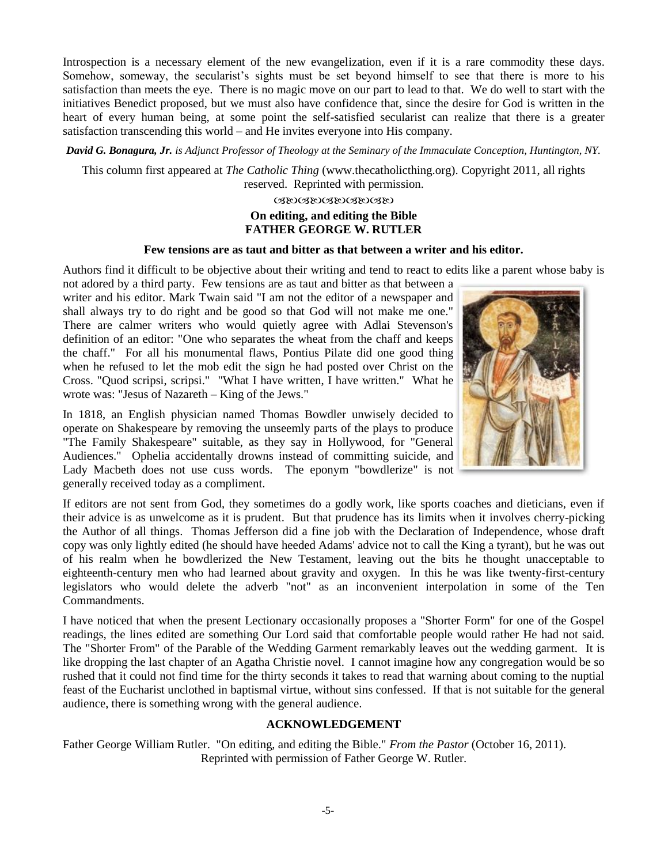Introspection is a necessary element of the new evangelization, even if it is a rare commodity these days. Somehow, someway, the secularist's sights must be set beyond himself to see that there is more to his satisfaction than meets the eye. There is no magic move on our part to lead to that. We do well to start with the initiatives Benedict proposed, but we must also have confidence that, since the desire for God is written in the heart of every human being, at some point the self-satisfied secularist can realize that there is a greater satisfaction transcending this world – and He invites everyone into His company.

*David G. Bonagura, Jr. is Adjunct Professor of Theology at the Seminary of the Immaculate Conception, Huntington, NY.*

This column first appeared at *The Catholic Thing* (www.thecatholicthing.org). Copyright 2011, all rights reserved. Reprinted with permission.

## ೞಲಡಲಡಲದಲದಲ **On editing, and editing the Bible FATHER GEORGE W. RUTLER**

#### **Few tensions are as taut and bitter as that between a writer and his editor.**

Authors find it difficult to be objective about their writing and tend to react to edits like a parent whose baby is

not adored by a third party. Few tensions are as taut and bitter as that between a writer and his editor. Mark Twain said "I am not the editor of a newspaper and shall always try to do right and be good so that God will not make me one." There are calmer writers who would quietly agree with Adlai Stevenson's definition of an editor: "One who separates the wheat from the chaff and keeps the chaff." For all his monumental flaws, Pontius Pilate did one good thing when he refused to let the mob edit the sign he had posted over Christ on the Cross. "Quod scripsi, scripsi." "What I have written, I have written." What he wrote was: "Jesus of Nazareth – King of the Jews."

In 1818, an English physician named Thomas Bowdler unwisely decided to operate on Shakespeare by removing the unseemly parts of the plays to produce "The Family Shakespeare" suitable, as they say in Hollywood, for "General Audiences." Ophelia accidentally drowns instead of committing suicide, and Lady Macbeth does not use cuss words. The eponym "bowdlerize" is not generally received today as a compliment.



If editors are not sent from God, they sometimes do a godly work, like sports coaches and dieticians, even if their advice is as unwelcome as it is prudent. But that prudence has its limits when it involves cherry-picking the Author of all things. Thomas Jefferson did a fine job with the Declaration of Independence, whose draft copy was only lightly edited (he should have heeded Adams' advice not to call the King a tyrant), but he was out of his realm when he bowdlerized the New Testament, leaving out the bits he thought unacceptable to eighteenth-century men who had learned about gravity and oxygen. In this he was like twenty-first-century legislators who would delete the adverb "not" as an inconvenient interpolation in some of the Ten Commandments.

I have noticed that when the present Lectionary occasionally proposes a "Shorter Form" for one of the Gospel readings, the lines edited are something Our Lord said that comfortable people would rather He had not said. The "Shorter From" of the Parable of the Wedding Garment remarkably leaves out the wedding garment. It is like dropping the last chapter of an Agatha Christie novel. I cannot imagine how any congregation would be so rushed that it could not find time for the thirty seconds it takes to read that warning about coming to the nuptial feast of the Eucharist unclothed in baptismal virtue, without sins confessed. If that is not suitable for the general audience, there is something wrong with the general audience.

#### **ACKNOWLEDGEMENT**

Father George William Rutler. "On editing, and editing the Bible." *From the Pastor* (October 16, 2011). Reprinted with permission of Father George W. Rutler.